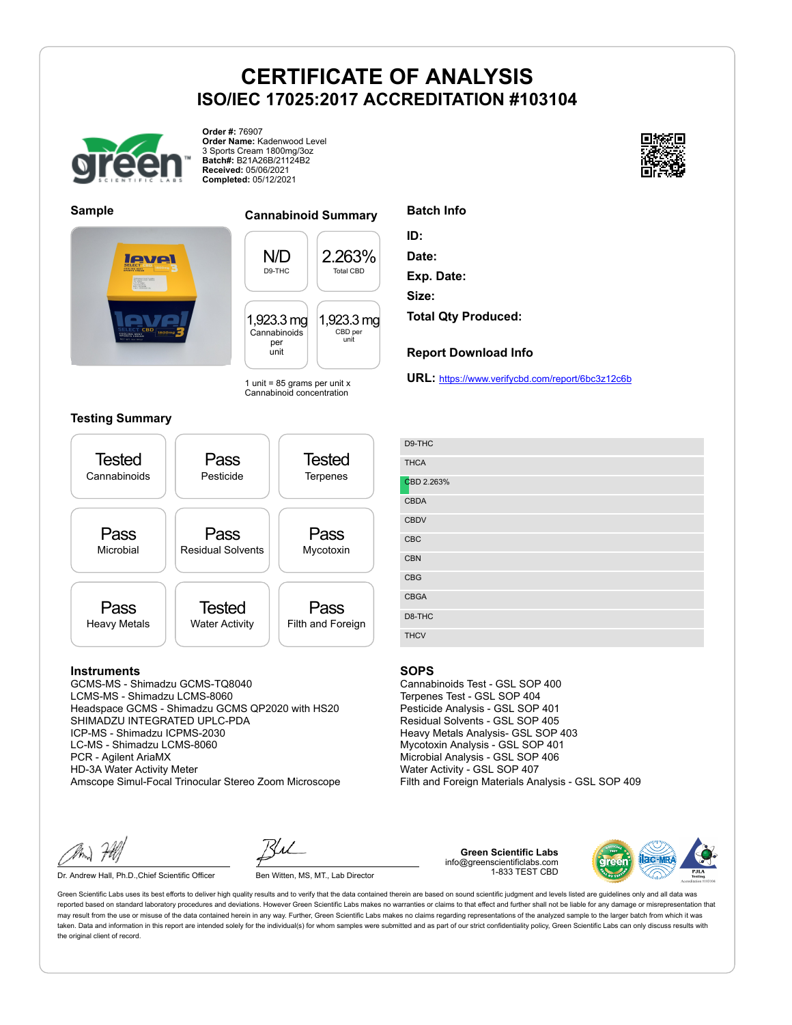

**Order #:** 76907 **Order Name:** Kadenwood Level 3 Sports Cream 1800mg/3oz **Batch#:** B21A26B/21124B2 **Received:** 05/06/2021 **Completed:** 05/12/2021





#### **Sample Cannabinoid Summary**

N/D D9-THC 2.263% Total CBD 1,923.3 mg Cannabinoids per unit 1,923.3 mg CBD per unit

1 unit =  $85$  grams per unit x Cannabinoid concentration

#### **Testing Summary**



#### **Instruments**

GCMS-MS - Shimadzu GCMS-TQ8040 LCMS-MS - Shimadzu LCMS-8060 Headspace GCMS - Shimadzu GCMS QP2020 with HS20 SHIMADZU INTEGRATED UPLC-PDA ICP-MS - Shimadzu ICPMS-2030 LC-MS - Shimadzu LCMS-8060 PCR - Agilent AriaMX HD-3A Water Activity Meter Amscope Simul-Focal Trinocular Stereo Zoom Microscope

Dr. Andrew Hall, Ph.D., Chief Scientific Officer Ben Witten, MS, MT., Lab Director

**Green Scientific Labs** info@greenscientificlabs.com 1-833 TEST CBD



Green Scientific Labs uses its best efforts to deliver high quality results and to verify that the data contained therein are based on sound scientific judgment and levels listed are guidelines only and all data was reported based on standard laboratory procedures and deviations. However Green Scientific Labs makes no warranties or claims to that effect and further shall not be liable for any damage or misrepresentation that may result from the use or misuse of the data contained herein in any way. Further, Green Scientific Labs makes no claims regarding representations of the analyzed sample to the larger batch from which it was taken. Data and information in this report are intended solely for the individual(s) for whom samples were submitted and as part of our strict confidentiality policy, Green Scientific Labs can only discuss results with the original client of record.



**Date:**

**Exp. Date:**

**Size:**

**Total Qty Produced:**

#### **Report Download Info**

**URL:** https://www.verifycbd.com/report/6bc3z12c6b

| D9-THC      |
|-------------|
| <b>THCA</b> |
| CBD 2.263%  |
| <b>CBDA</b> |
| <b>CBDV</b> |
| CBC         |
| <b>CBN</b>  |
| CBG         |
| <b>CBGA</b> |
| D8-THC      |
| <b>THCV</b> |

#### **SOPS**

Cannabinoids Test - GSL SOP 400 Terpenes Test - GSL SOP 404 Pesticide Analysis - GSL SOP 401 Residual Solvents - GSL SOP 405 Heavy Metals Analysis- GSL SOP 403 Mycotoxin Analysis - GSL SOP 401 Microbial Analysis - GSL SOP 406 Water Activity - GSL SOP 407 Filth and Foreign Materials Analysis - GSL SOP 409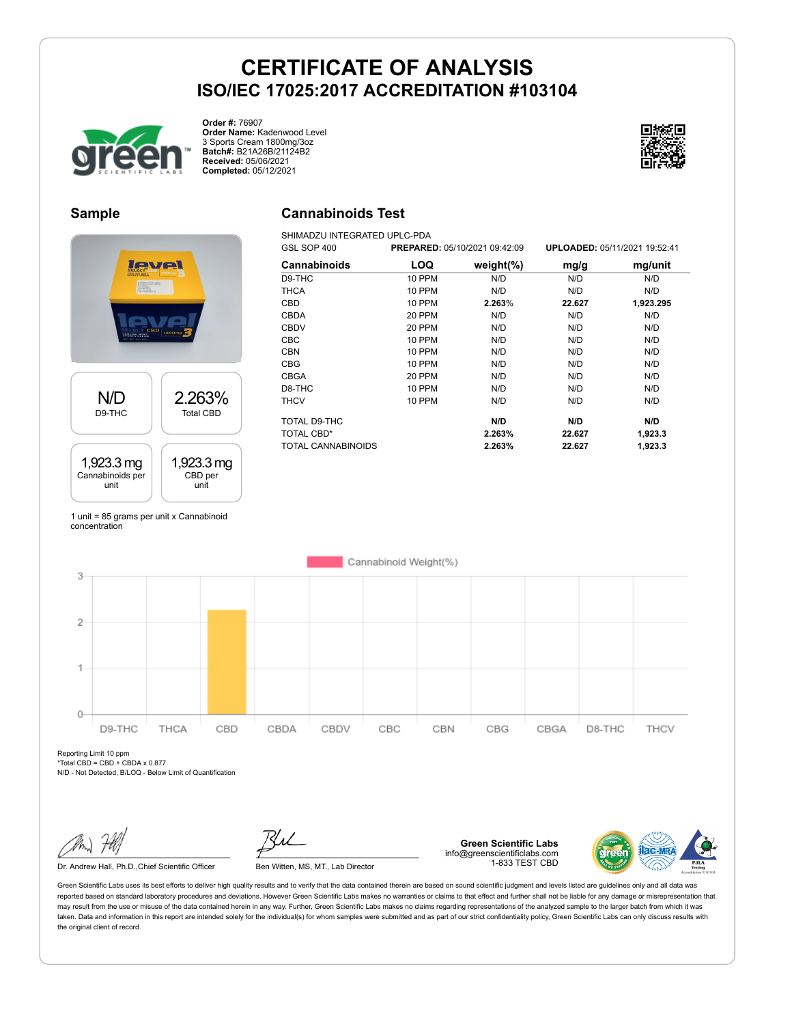

**Order #:** 76907 **Order Name:** Kadenwood Level 3 Sports Cream 1800mg/3oz **Batch#:** B21A26B/21124B2 **Received:** 05/06/2021 **Completed:** 05/12/2021



### **Sample**

# level N/D 2.263% D9-THC Total CBD 1,923.3 mg 1,923.3 mg Cannabinoids per CBD per unit unit

1 unit = 85 grams per unit x Cannabinoid concentration

## **Cannabinoids Test**

SHIMADZU INTEGRATED UPLC-PDA

| GSL SOP 400        | PREPARED: 05/10/2021 09:42:09 |               |        | UPLOADED: 05/11/2021 19:52:41 |
|--------------------|-------------------------------|---------------|--------|-------------------------------|
| Cannabinoids       | LOQ                           | weight $(\%)$ | mg/g   | mg/unit                       |
| D9-THC             | <b>10 PPM</b>                 | N/D           | N/D    | N/D                           |
| <b>THCA</b>        | <b>10 PPM</b>                 | N/D           | N/D    | N/D                           |
| CBD                | <b>10 PPM</b>                 | 2.263%        | 22.627 | 1,923.295                     |
| <b>CBDA</b>        | 20 PPM                        | N/D           | N/D    | N/D                           |
| <b>CBDV</b>        | 20 PPM                        | N/D           | N/D    | N/D                           |
| <b>CBC</b>         | 10 PPM                        | N/D           | N/D    | N/D                           |
| <b>CBN</b>         | <b>10 PPM</b>                 | N/D           | N/D    | N/D                           |
| <b>CBG</b>         | 10 PPM                        | N/D           | N/D    | N/D                           |
| <b>CBGA</b>        | 20 PPM                        | N/D           | N/D    | N/D                           |
| D8-THC             | <b>10 PPM</b>                 | N/D           | N/D    | N/D                           |
| <b>THCV</b>        | 10 PPM                        | N/D           | N/D    | N/D                           |
| TOTAL D9-THC       |                               | N/D           | N/D    | N/D                           |
| <b>TOTAL CBD*</b>  |                               | 2.263%        | 22.627 | 1,923.3                       |
| TOTAL CANNABINOIDS |                               | 2.263%        | 22.627 | 1,923.3                       |



Reporting Limit 10 ppm  $*Total CBD = CBD + CBDA \times 0.877$ 

N/D - Not Detected, B/LOQ - Below Limit of Quantification

**Green Scientific Labs** info@greenscientificlabs.com 1-833 TEST CBD



Dr. Andrew Hall, Ph.D., Chief Scientific Officer Ben Witten, MS, MT., Lab Director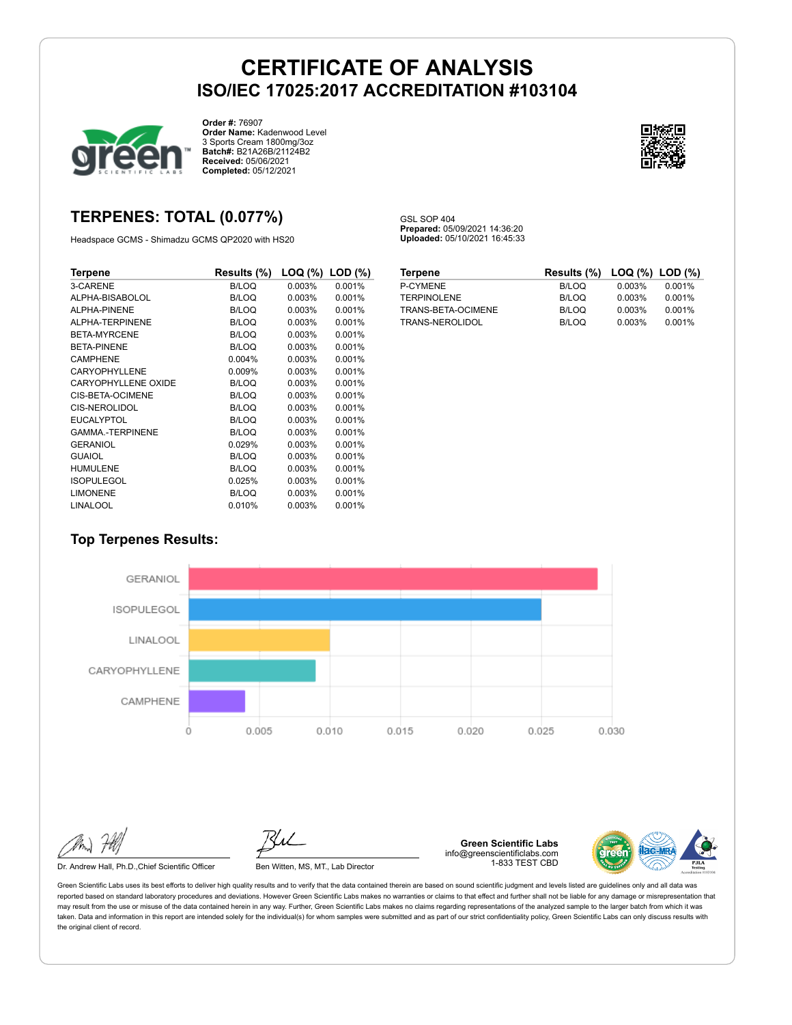GSL SOP 404

**Prepared:** 05/09/2021 14:36:20 **Uploaded:** 05/10/2021 16:45:33



**Order #:** 76907 **Order Name:** Kadenwood Level 3 Sports Cream 1800mg/3oz **Batch#:** B21A26B/21124B2 **Received:** 05/06/2021 **Completed:** 05/12/2021



## **TERPENES: TOTAL (0.077%)**

Headspace GCMS - Shimadzu GCMS QP2020 with HS20

| Terpene                    | Results (%)  | $LOG (%)$ LOD $(\%)$ |        |
|----------------------------|--------------|----------------------|--------|
| 3-CARENE                   | <b>B/LOQ</b> | 0.003%               | 0.001% |
| ALPHA-BISABOLOL            | B/LOQ        | 0.003%               | 0.001% |
| ALPHA-PINENE               | B/LOQ        | 0.003%               | 0.001% |
| ALPHA-TERPINENE            | B/LOQ        | 0.003%               | 0.001% |
| BETA-MYRCENE               | B/LOQ        | 0.003%               | 0.001% |
| <b>BETA-PINENE</b>         | B/LOQ        | 0.003%               | 0.001% |
| <b>CAMPHENE</b>            | 0.004%       | 0.003%               | 0.001% |
| CARYOPHYLLENE              | 0.009%       | 0.003%               | 0.001% |
| <b>CARYOPHYLLENE OXIDE</b> | B/LOQ        | 0.003%               | 0.001% |
| CIS-BETA-OCIMENE           | B/LOQ        | 0.003%               | 0.001% |
| CIS-NEROLIDOL              | B/LOQ        | 0.003%               | 0.001% |
| <b>EUCALYPTOL</b>          | B/LOQ        | 0.003%               | 0.001% |
| <b>GAMMA-TERPINENE</b>     | B/LOQ        | 0.003%               | 0.001% |
| GERANIOL                   | 0.029%       | 0.003%               | 0.001% |
| <b>GUAIOL</b>              | B/LOQ        | 0.003%               | 0.001% |
| <b>HUMULENE</b>            | B/LOQ        | 0.003%               | 0.001% |
| <b>ISOPULEGOL</b>          | 0.025%       | 0.003%               | 0.001% |
| <b>LIMONENE</b>            | B/LOQ        | 0.003%               | 0.001% |
| <b>LINALOOL</b>            | 0.010%       | 0.003%               | 0.001% |

| <b>Terpene</b>     | Results (%) LOQ (%) LOD (%) |        |        |
|--------------------|-----------------------------|--------|--------|
| P-CYMENE           | B/LOQ                       | 0.003% | 0.001% |
| <b>TERPINOLENE</b> | B/LOQ                       | 0.003% | 0.001% |
| TRANS-BETA-OCIMENE | B/LOQ                       | 0.003% | 0.001% |
| TRANS-NEROLIDOL    | B/LOQ                       | 0.003% | 0.001% |

### **Top Terpenes Results:**



Dr. Andrew Hall, Ph.D., Chief Scientific Officer Ben Witten, MS, MT., Lab Director

**Green Scientific Labs** info@greenscientificlabs.com 1-833 TEST CBD

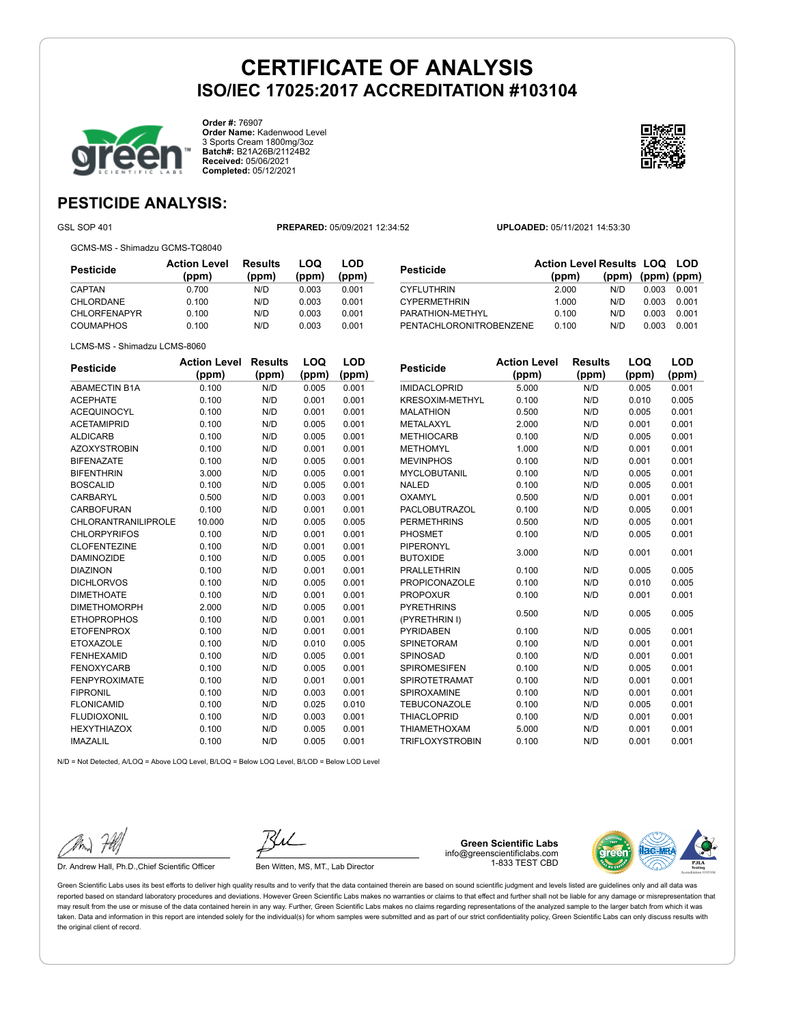

**Order #:** 76907 **Order Name:** Kadenwood Level 3 Sports Cream 1800mg/3oz **Batch#:** B21A26B/21124B2 **Received:** 05/06/2021 **Completed:** 05/12/2021



## **PESTICIDE ANALYSIS:**

GSL SOP 401 **PREPARED:** 05/09/2021 12:34:52 **UPLOADED:** 05/11/2021 14:53:30

GCMS-MS - Shimadzu GCMS-TQ8040

| Pesticide           | <b>Action Level</b><br>(ppm) | Results<br>(ppm) | LOQ<br>(ppm) | LOD<br>(ppm) |
|---------------------|------------------------------|------------------|--------------|--------------|
| CAPTAN              | 0.700                        | N/D              | 0.003        | 0.001        |
| CHLORDANE           | 0.100                        | N/D              | 0.003        | 0.001        |
| <b>CHLORFENAPYR</b> | 0.100                        | N/D              | 0.003        | 0.001        |
| <b>COUMAPHOS</b>    | 0.100                        | N/D              | 0.003        | 0.001        |

| Pesticide                      | <b>Action Level Results LOQ LOD</b> |                   |       |       |
|--------------------------------|-------------------------------------|-------------------|-------|-------|
|                                | (ppm)                               | (ppm) (ppm) (ppm) |       |       |
| <b>CYFLUTHRIN</b>              | 2.000                               | N/D               | 0.003 | 0.001 |
| <b>CYPERMETHRIN</b>            | 1.000                               | N/D               | 0.003 | 0.001 |
| PARATHION-METHYL               | 0.100                               | N/D               | 0.003 | 0.001 |
| <b>PENTACHLORONITROBENZENE</b> | 0.100                               | N/D               | 0.003 | 0.001 |

LCMS-MS - Shimadzu LCMS-8060

| <b>Pesticide</b>     | <b>Action Level</b> | Results | LOQ   | LOD   |
|----------------------|---------------------|---------|-------|-------|
|                      | (ppm)               | (ppm)   | (ppm) | (ppm) |
| <b>ABAMECTIN B1A</b> | 0.100               | N/D     | 0.005 | 0.001 |
| <b>ACEPHATE</b>      | 0.100               | N/D     | 0.001 | 0.001 |
| <b>ACEQUINOCYL</b>   | 0.100               | N/D     | 0.001 | 0.001 |
| <b>ACETAMIPRID</b>   | 0.100               | N/D     | 0.005 | 0.001 |
| <b>ALDICARB</b>      | 0.100               | N/D     | 0.005 | 0.001 |
| <b>AZOXYSTROBIN</b>  | 0.100               | N/D     | 0.001 | 0.001 |
| <b>BIFENAZATE</b>    | 0.100               | N/D     | 0.005 | 0.001 |
| <b>BIFENTHRIN</b>    | 3.000               | N/D     | 0.005 | 0.001 |
| <b>BOSCALID</b>      | 0.100               | N/D     | 0.005 | 0.001 |
| CARBARYL             | 0.500               | N/D     | 0.003 | 0.001 |
| <b>CARBOFURAN</b>    | 0.100               | N/D     | 0.001 | 0.001 |
| CHLORANTRANILIPROLE  | 10.000              | N/D     | 0.005 | 0.005 |
| <b>CHLORPYRIFOS</b>  | 0.100               | N/D     | 0.001 | 0.001 |
| <b>CLOFENTEZINE</b>  | 0.100               | N/D     | 0.001 | 0.001 |
| <b>DAMINOZIDE</b>    | 0.100               | N/D     | 0.005 | 0.001 |
| <b>DIAZINON</b>      | 0.100               | N/D     | 0.001 | 0.001 |
| <b>DICHLORVOS</b>    | 0.100               | N/D     | 0.005 | 0.001 |
| <b>DIMETHOATE</b>    | 0.100               | N/D     | 0.001 | 0.001 |
| <b>DIMETHOMORPH</b>  | 2.000               | N/D     | 0.005 | 0.001 |
| <b>ETHOPROPHOS</b>   | 0.100               | N/D     | 0.001 | 0.001 |
| <b>ETOFENPROX</b>    | 0.100               | N/D     | 0.001 | 0.001 |
| <b>ETOXAZOLE</b>     | 0.100               | N/D     | 0.010 | 0.005 |
| <b>FENHEXAMID</b>    | 0.100               | N/D     | 0.005 | 0.001 |
| <b>FENOXYCARB</b>    | 0.100               | N/D     | 0.005 | 0.001 |
| <b>FENPYROXIMATE</b> | 0.100               | N/D     | 0.001 | 0.001 |
| <b>FIPRONIL</b>      | 0.100               | N/D     | 0.003 | 0.001 |
| <b>FLONICAMID</b>    | 0.100               | N/D     | 0.025 | 0.010 |
| <b>FLUDIOXONIL</b>   | 0.100               | N/D     | 0.003 | 0.001 |
| <b>HEXYTHIAZOX</b>   | 0.100               | N/D     | 0.005 | 0.001 |
| <b>IMAZALIL</b>      | 0.100               | N/D     | 0.005 | 0.001 |

| <b>Pesticide</b>                   | <b>Action Level</b><br>(ppm) | <b>Results</b><br>(ppm) | LOQ<br>(ppm) | <b>LOD</b><br>(ppm) |
|------------------------------------|------------------------------|-------------------------|--------------|---------------------|
| <b>IMIDACLOPRID</b>                | 5.000                        | N/D                     | 0.005        | 0.001               |
| <b>KRESOXIM-METHYL</b>             | 0.100                        | N/D                     | 0.010        | 0.005               |
| <b>MALATHION</b>                   | 0.500                        | N/D                     | 0.005        | 0.001               |
| <b>METALAXYL</b>                   | 2.000                        | N/D                     | 0.001        | 0.001               |
| <b>METHIOCARB</b>                  | 0.100                        | N/D                     | 0.005        | 0.001               |
| <b>METHOMYL</b>                    | 1.000                        | N/D                     | 0.001        | 0.001               |
| <b>MEVINPHOS</b>                   | 0.100                        | N/D                     | 0.001        | 0.001               |
| <b>MYCLOBUTANIL</b>                | 0.100                        | N/D                     | 0.005        | 0.001               |
| <b>NALED</b>                       | 0.100                        | N/D                     | 0.005        | 0.001               |
| <b>OXAMYL</b>                      | 0.500                        | N/D                     | 0.001        | 0.001               |
| PACLOBUTRAZOL                      | 0.100                        | N/D                     | 0.005        | 0.001               |
| <b>PERMETHRINS</b>                 | 0.500                        | N/D                     | 0.005        | 0.001               |
| <b>PHOSMET</b>                     | 0.100                        | N/D                     | 0.005        | 0.001               |
| PIPERONYL                          | 3.000                        | N/D                     | 0.001        | 0.001               |
| <b>BUTOXIDE</b>                    |                              |                         |              |                     |
| <b>PRALLETHRIN</b>                 | 0.100                        | N/D                     | 0.005        | 0.005               |
| <b>PROPICONAZOLE</b>               | 0.100                        | N/D                     | 0.010        | 0.005               |
| <b>PROPOXUR</b>                    | 0.100                        | N/D                     | 0.001        | 0.001               |
| <b>PYRETHRINS</b><br>(PYRETHRIN I) | 0.500                        | N/D                     | 0.005        | 0.005               |
| <b>PYRIDABEN</b>                   | 0.100                        | N/D                     | 0.005        | 0.001               |
| <b>SPINETORAM</b>                  | 0.100                        | N/D                     | 0.001        | 0.001               |
| SPINOSAD                           | 0.100                        | N/D                     | 0.001        | 0.001               |
| <b>SPIROMESIFEN</b>                | 0.100                        | N/D                     | 0.005        | 0.001               |
| <b>SPIROTETRAMAT</b>               | 0.100                        | N/D                     | 0.001        | 0.001               |
| SPIROXAMINE                        | 0.100                        | N/D                     | 0.001        | 0.001               |
| <b>TEBUCONAZOLE</b>                | 0.100                        | N/D                     | 0.005        | 0.001               |
| <b>THIACLOPRID</b>                 | 0.100                        | N/D                     | 0.001        | 0.001               |
| <b>THIAMETHOXAM</b>                | 5.000                        | N/D                     | 0.001        | 0.001               |
| <b>TRIFLOXYSTROBIN</b>             | 0.100                        | N/D                     | 0.001        | 0.001               |

N/D = Not Detected, A/LOQ = Above LOQ Level, B/LOQ = Below LOQ Level, B/LOD = Below LOD Level

Dr. Andrew Hall, Ph.D., Chief Scientific Officer Ben Witten, MS, MT., Lab Director

**Green Scientific Labs** info@greenscientificlabs.com 1-833 TEST CBD

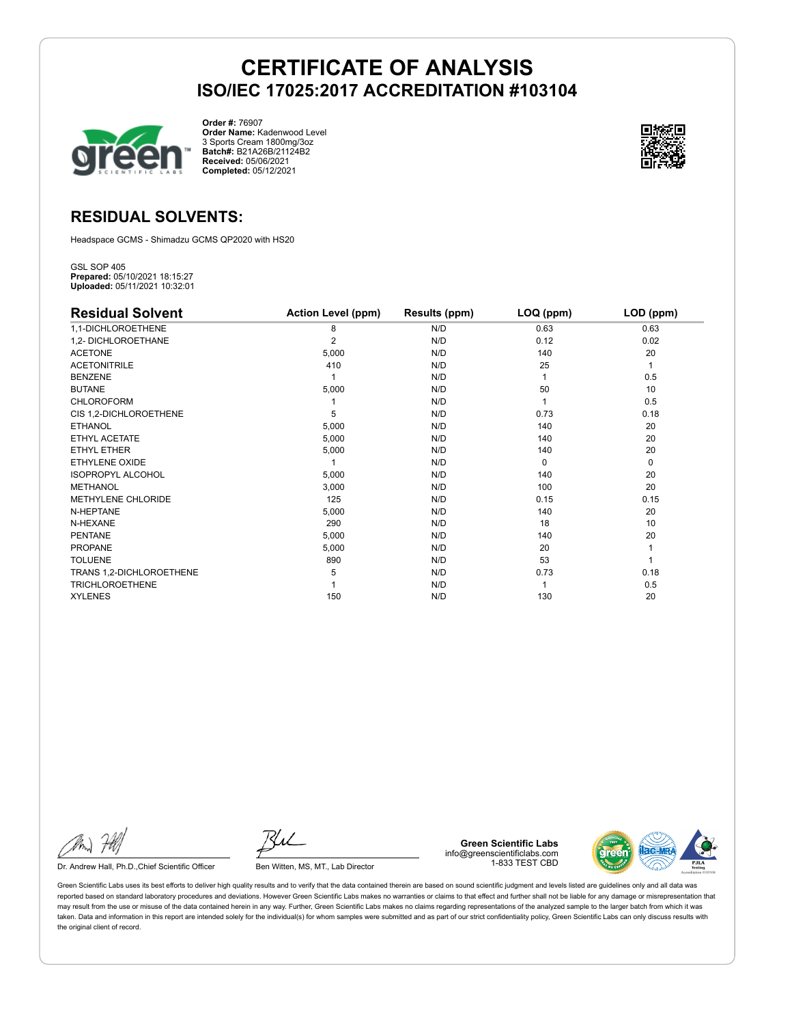

**Order #:** 76907 **Order Name:** Kadenwood Level 3 Sports Cream 1800mg/3oz **Batch#:** B21A26B/21124B2 **Received:** 05/06/2021 **Completed:** 05/12/2021



## **RESIDUAL SOLVENTS:**

Headspace GCMS - Shimadzu GCMS QP2020 with HS20

GSL SOP 405 **Prepared:** 05/10/2021 18:15:27 **Uploaded:** 05/11/2021 10:32:01

| <b>Residual Solvent</b>  | <b>Action Level (ppm)</b> | Results (ppm) | LOQ (ppm) | LOD (ppm) |
|--------------------------|---------------------------|---------------|-----------|-----------|
| 1,1-DICHLOROETHENE       | 8                         | N/D           | 0.63      | 0.63      |
| 1,2- DICHLOROETHANE      | $\overline{2}$            | N/D           | 0.12      | 0.02      |
| <b>ACETONE</b>           | 5,000                     | N/D           | 140       | 20        |
| <b>ACETONITRILE</b>      | 410                       | N/D           | 25        | 1         |
| <b>BENZENE</b>           |                           | N/D           |           | 0.5       |
| <b>BUTANE</b>            | 5,000                     | N/D           | 50        | 10        |
| <b>CHLOROFORM</b>        |                           | N/D           |           | 0.5       |
| CIS 1,2-DICHLOROETHENE   | 5                         | N/D           | 0.73      | 0.18      |
| <b>ETHANOL</b>           | 5,000                     | N/D           | 140       | 20        |
| ETHYL ACETATE            | 5,000                     | N/D           | 140       | 20        |
| <b>ETHYL ETHER</b>       | 5,000                     | N/D           | 140       | 20        |
| <b>ETHYLENE OXIDE</b>    |                           | N/D           | $\Omega$  | 0         |
| <b>ISOPROPYL ALCOHOL</b> | 5,000                     | N/D           | 140       | 20        |
| <b>METHANOL</b>          | 3,000                     | N/D           | 100       | 20        |
| METHYLENE CHLORIDE       | 125                       | N/D           | 0.15      | 0.15      |
| N-HEPTANE                | 5,000                     | N/D           | 140       | 20        |
| N-HEXANE                 | 290                       | N/D           | 18        | 10        |
| <b>PENTANE</b>           | 5,000                     | N/D           | 140       | 20        |
| <b>PROPANE</b>           | 5,000                     | N/D           | 20        |           |
| <b>TOLUENE</b>           | 890                       | N/D           | 53        |           |
| TRANS 1,2-DICHLOROETHENE | 5                         | N/D           | 0.73      | 0.18      |
| <b>TRICHLOROETHENE</b>   |                           | N/D           |           | 0.5       |
| <b>XYLENES</b>           | 150                       | N/D           | 130       | 20        |

Dr. Andrew Hall, Ph.D., Chief Scientific Officer Ben Witten, MS, MT., Lab Director

**Green Scientific Labs** info@greenscientificlabs.com 1-833 TEST CBD

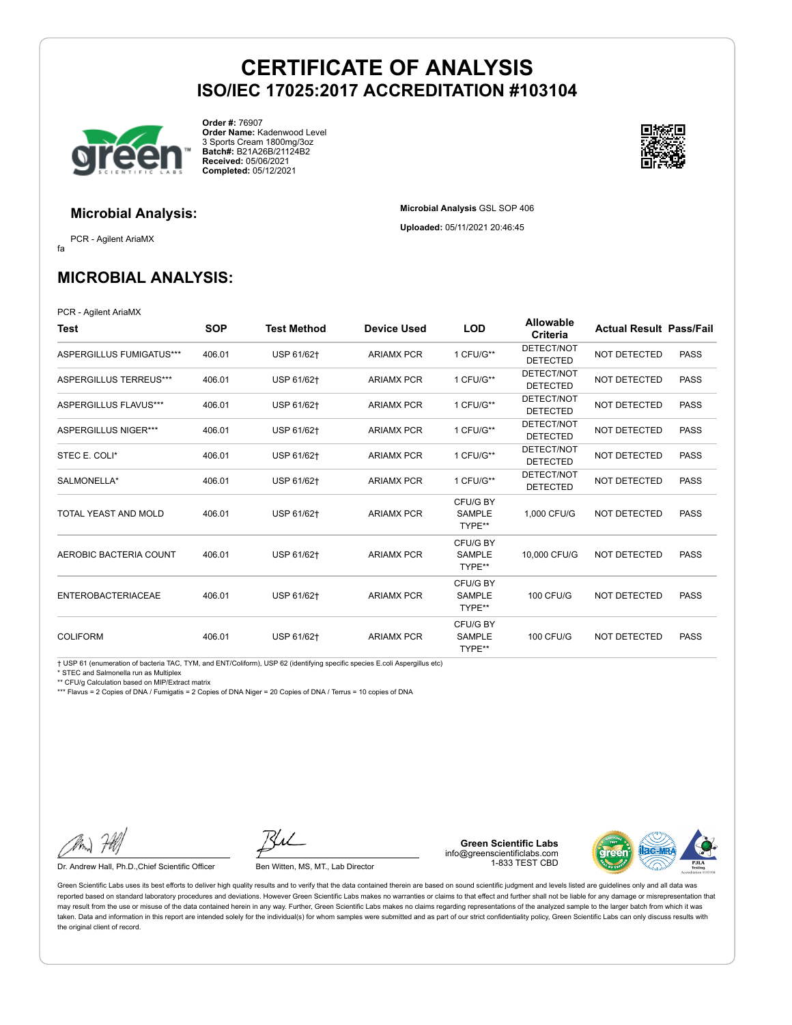**Microbial Analysis** GSL SOP 406 **Uploaded:** 05/11/2021 20:46:45



**Order #:** 76907 **Order Name:** Kadenwood Level 3 Sports Cream 1800mg/3oz **Batch#:** B21A26B/21124B2 **Received:** 05/06/2021 **Completed:** 05/12/2021



### **Microbial Analysis:**

fa PCR - Agilent AriaMX

**MICROBIAL ANALYSIS:**

PCR - Agilent AriaMX

| Test                        | <b>SOP</b> | Test Method | <b>Device Used</b> | <b>LOD</b>                          | <b>Allowable</b><br>Criteria  | <b>Actual Result Pass/Fail</b> |             |
|-----------------------------|------------|-------------|--------------------|-------------------------------------|-------------------------------|--------------------------------|-------------|
| ASPERGILLUS FUMIGATUS***    | 406.01     | USP 61/62+  | <b>ARIAMX PCR</b>  | 1 CFU/G**                           | DETECT/NOT<br><b>DETECTED</b> | <b>NOT DETECTED</b>            | <b>PASS</b> |
| ASPERGILLUS TERREUS***      | 406.01     | USP 61/62+  | <b>ARIAMX PCR</b>  | 1 CFU/G**                           | DETECT/NOT<br><b>DETECTED</b> | NOT DETECTED                   | <b>PASS</b> |
| ASPERGILLUS FLAVUS***       | 406.01     | USP 61/62†  | <b>ARIAMX PCR</b>  | 1 CFU/G**                           | DETECT/NOT<br><b>DETECTED</b> | NOT DETECTED                   | <b>PASS</b> |
| <b>ASPERGILLUS NIGER***</b> | 406.01     | USP 61/62+  | <b>ARIAMX PCR</b>  | 1 CFU/G**                           | DETECT/NOT<br><b>DETECTED</b> | NOT DETECTED                   | <b>PASS</b> |
| STEC E. COLI*               | 406.01     | USP 61/62+  | <b>ARIAMX PCR</b>  | 1 CFU/G**                           | DETECT/NOT<br><b>DETECTED</b> | NOT DETECTED                   | <b>PASS</b> |
| SALMONELLA*                 | 406.01     | USP 61/62+  | <b>ARIAMX PCR</b>  | 1 CFU/G**                           | DETECT/NOT<br><b>DETECTED</b> | <b>NOT DETECTED</b>            | <b>PASS</b> |
| TOTAL YEAST AND MOLD        | 406.01     | USP 61/62+  | <b>ARIAMX PCR</b>  | CFU/G BY<br><b>SAMPLE</b><br>TYPE** | 1.000 CFU/G                   | NOT DETECTED                   | <b>PASS</b> |
| AEROBIC BACTERIA COUNT      | 406.01     | USP 61/62+  | <b>ARIAMX PCR</b>  | CFU/G BY<br><b>SAMPLE</b><br>TYPE** | 10,000 CFU/G                  | NOT DETECTED                   | <b>PASS</b> |
| <b>ENTEROBACTERIACEAE</b>   | 406.01     | USP 61/62+  | <b>ARIAMX PCR</b>  | CFU/G BY<br><b>SAMPLE</b><br>TYPE** | <b>100 CFU/G</b>              | <b>NOT DETECTED</b>            | <b>PASS</b> |
| <b>COLIFORM</b>             | 406.01     | USP 61/62+  | <b>ARIAMX PCR</b>  | CFU/G BY<br><b>SAMPLE</b><br>TYPE** | <b>100 CFU/G</b>              | NOT DETECTED                   | <b>PASS</b> |

† USP 61 (enumeration of bacteria TAC, TYM, and ENT/Coliform), USP 62 (identifying specific species E.coli Aspergillus etc)

\* STEC and Salmonella run as Multiplex

\*\* CFU/g Calculation based on MIP/Extract matrix

\*\*\* Flavus = 2 Copies of DNA / Fumigatis = 2 Copies of DNA Niger = 20 Copies of DNA / Terrus = 10 copies of DNA

Dr. Andrew Hall, Ph.D., Chief Scientific Officer Ben Witten, MS, MT., Lab Director

**Green Scientific Labs** info@greenscientificlabs.com 1-833 TEST CBD